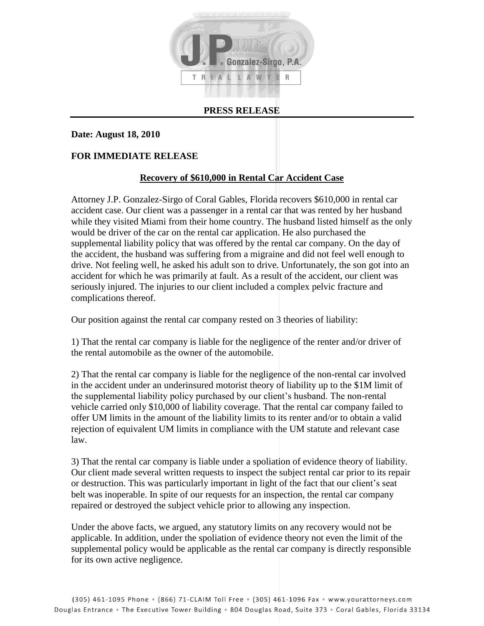

## **PRESS RELEASE**

## **Date: August 18, 2010**

## **FOR IMMEDIATE RELEASE**

## **Recovery of \$610,000 in Rental Car Accident Case**

Attorney J.P. Gonzalez-Sirgo of Coral Gables, Florida recovers \$610,000 in rental car accident case. Our client was a passenger in a rental car that was rented by her husband while they visited Miami from their home country. The husband listed himself as the only would be driver of the car on the rental car application. He also purchased the supplemental liability policy that was offered by the rental car company. On the day of the accident, the husband was suffering from a migraine and did not feel well enough to drive. Not feeling well, he asked his adult son to drive. Unfortunately, the son got into an accident for which he was primarily at fault. As a result of the accident, our client was seriously injured. The injuries to our client included a complex pelvic fracture and complications thereof.

Our position against the rental car company rested on 3 theories of liability:

1) That the rental car company is liable for the negligence of the renter and/or driver of the rental automobile as the owner of the automobile.

2) That the rental car company is liable for the negligence of the non-rental car involved in the accident under an underinsured motorist theory of liability up to the \$1M limit of the supplemental liability policy purchased by our client's husband. The non-rental vehicle carried only \$10,000 of liability coverage. That the rental car company failed to offer UM limits in the amount of the liability limits to its renter and/or to obtain a valid rejection of equivalent UM limits in compliance with the UM statute and relevant case law.

3) That the rental car company is liable under a spoliation of evidence theory of liability. Our client made several written requests to inspect the subject rental car prior to its repair or destruction. This was particularly important in light of the fact that our client's seat belt was inoperable. In spite of our requests for an inspection, the rental car company repaired or destroyed the subject vehicle prior to allowing any inspection.

Under the above facts, we argued, any statutory limits on any recovery would not be applicable. In addition, under the spoliation of evidence theory not even the limit of the supplemental policy would be applicable as the rental car company is directly responsible for its own active negligence.